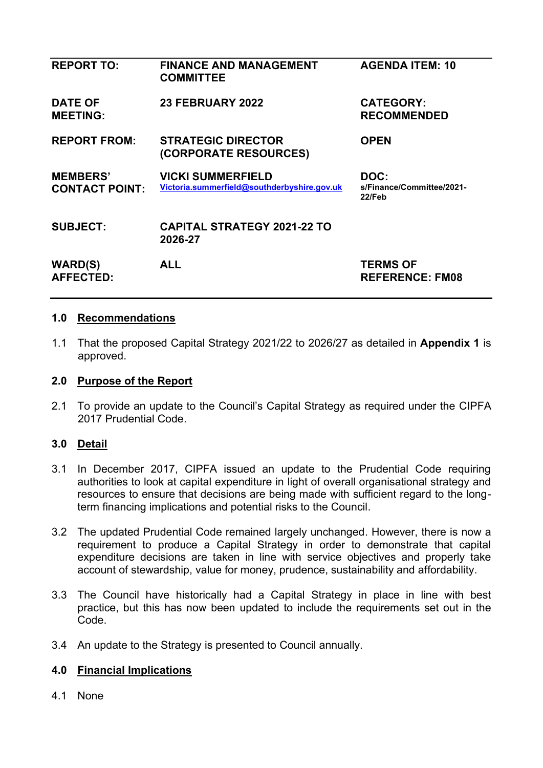| <b>REPORT TO:</b>                        | <b>FINANCE AND MANAGEMENT</b><br><b>COMMITTEE</b>                       | <b>AGENDA ITEM: 10</b>                      |
|------------------------------------------|-------------------------------------------------------------------------|---------------------------------------------|
| <b>DATE OF</b><br><b>MEETING:</b>        | 23 FEBRUARY 2022                                                        | <b>CATEGORY:</b><br><b>RECOMMENDED</b>      |
| <b>REPORT FROM:</b>                      | <b>STRATEGIC DIRECTOR</b><br>(CORPORATE RESOURCES)                      | <b>OPEN</b>                                 |
| <b>MEMBERS'</b><br><b>CONTACT POINT:</b> | <b>VICKI SUMMERFIELD</b><br>Victoria.summerfield@southderbyshire.gov.uk | DOC:<br>s/Finance/Committee/2021-<br>22/Feb |
| <b>SUBJECT:</b>                          | <b>CAPITAL STRATEGY 2021-22 TO</b><br>2026-27                           |                                             |
| <b>WARD(S)</b><br><b>AFFECTED:</b>       | <b>ALL</b>                                                              | <b>TERMS OF</b><br><b>REFERENCE: FM08</b>   |

#### **1.0 Recommendations**

1.1 That the proposed Capital Strategy 2021/22 to 2026/27 as detailed in **Appendix 1** is approved.

#### **2.0 Purpose of the Report**

2.1 To provide an update to the Council's Capital Strategy as required under the CIPFA 2017 Prudential Code.

## **3.0 Detail**

- 3.1 In December 2017, CIPFA issued an update to the Prudential Code requiring authorities to look at capital expenditure in light of overall organisational strategy and resources to ensure that decisions are being made with sufficient regard to the longterm financing implications and potential risks to the Council.
- 3.2 The updated Prudential Code remained largely unchanged. However, there is now a requirement to produce a Capital Strategy in order to demonstrate that capital expenditure decisions are taken in line with service objectives and properly take account of stewardship, value for money, prudence, sustainability and affordability.
- 3.3 The Council have historically had a Capital Strategy in place in line with best practice, but this has now been updated to include the requirements set out in the Code.
- 3.4 An update to the Strategy is presented to Council annually.

#### **4.0 Financial Implications**

4.1 None